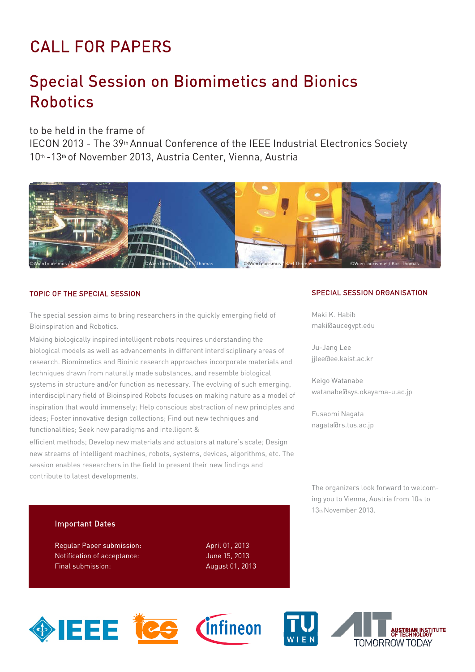# CALL FOR PAPERS

## Special Session on Biomimetics and Bionics Robotics

## to be held in the frame of

IECON 2013 - The 39thAnnual Conference of the IEEE Industrial Electronics Society 10th -13th of November 2013, Austria Center, Vienna, Austria



### TOPIC OF THE SPECIAL SESSION

The special session aims to bring researchers in the quickly emerging field of Bioinspiration and Robotics.

Making biologically inspired intelligent robots requires understanding the biological models as well as advancements in different interdisciplinary areas of research. Biomimetics and Bioinic research approaches incorporate materials and techniques drawn from naturally made substances, and resemble biological systems in structure and/or function as necessary. The evolving of such emerging, interdisciplinary field of Bioinspired Robots focuses on making nature as a model of inspiration that would immensely: Help conscious abstraction of new principles and ideas; Foster innovative design collections; Find out new techniques and functionalities; Seek new paradigms and intelligent &

efficient methods; Develop new materials and actuators at nature's scale; Design new streams of intelligent machines, robots, systems, devices, algorithms, etc. The session enables researchers in the field to present their new findings and contribute to latest developments.

#### SPECIAL SESSION ORGANISATION

Maki K. Habib maki@aucegypt.edu

Ju-Jang Lee jjlee@ee.kaist.ac.kr

Keigo Watanabe watanabe@sys.okayama-u.ac.jp

Fusaomi Nagata nagata@rs.tus.ac.jp

The organizers look forward to welcoming you to Vienna, Austria from 10th to 13th November 2013.

### Important Dates

Regular Paper submission: April 01, 2013 Notification of acceptance: June 15, 2013 Final submission: August 01, 2013